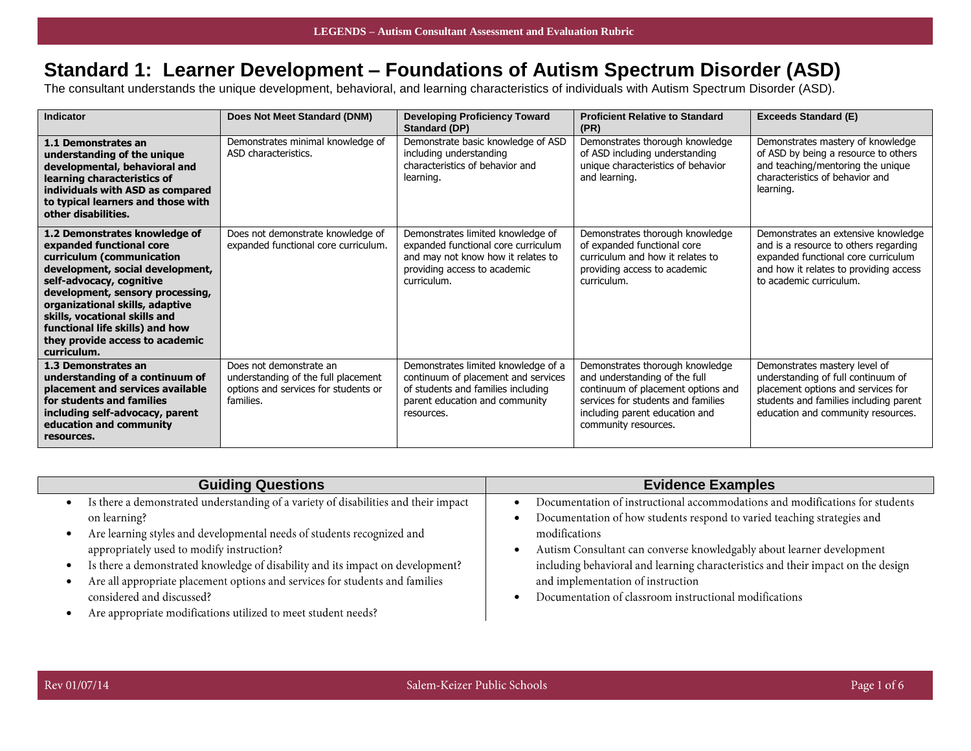## **Standard 1: Learner Development – Foundations of Autism Spectrum Disorder (ASD)**

The consultant understands the unique development, behavioral, and learning characteristics of individuals with Autism Spectrum Disorder (ASD).

| Indicator                                                                                                                                                                                                                                                                                                                                           | Does Not Meet Standard (DNM)                                                                                        | <b>Developing Proficiency Toward</b><br>Standard (DP)                                                                                                            | <b>Proficient Relative to Standard</b><br>(PR)                                                                                                                                                         | <b>Exceeds Standard (E)</b>                                                                                                                                                               |
|-----------------------------------------------------------------------------------------------------------------------------------------------------------------------------------------------------------------------------------------------------------------------------------------------------------------------------------------------------|---------------------------------------------------------------------------------------------------------------------|------------------------------------------------------------------------------------------------------------------------------------------------------------------|--------------------------------------------------------------------------------------------------------------------------------------------------------------------------------------------------------|-------------------------------------------------------------------------------------------------------------------------------------------------------------------------------------------|
| 1.1 Demonstrates an<br>understanding of the unique<br>developmental, behavioral and<br>learning characteristics of<br>individuals with ASD as compared<br>to typical learners and those with<br>other disabilities.                                                                                                                                 | Demonstrates minimal knowledge of<br>ASD characteristics.                                                           | Demonstrate basic knowledge of ASD<br>including understanding<br>characteristics of behavior and<br>learning.                                                    | Demonstrates thorough knowledge<br>of ASD including understanding<br>unique characteristics of behavior<br>and learning.                                                                               | Demonstrates mastery of knowledge<br>of ASD by being a resource to others<br>and teaching/mentoring the unique<br>characteristics of behavior and<br>learning.                            |
| 1.2 Demonstrates knowledge of<br>expanded functional core<br>curriculum (communication<br>development, social development,<br>self-advocacy, cognitive<br>development, sensory processing,<br>organizational skills, adaptive<br>skills, vocational skills and<br>functional life skills) and how<br>they provide access to academic<br>curriculum. | Does not demonstrate knowledge of<br>expanded functional core curriculum.                                           | Demonstrates limited knowledge of<br>expanded functional core curriculum<br>and may not know how it relates to<br>providing access to academic<br>curriculum.    | Demonstrates thorough knowledge<br>of expanded functional core<br>curriculum and how it relates to<br>providing access to academic<br>curriculum.                                                      | Demonstrates an extensive knowledge<br>and is a resource to others regarding<br>expanded functional core curriculum<br>and how it relates to providing access<br>to academic curriculum.  |
| 1.3 Demonstrates an<br>understanding of a continuum of<br>placement and services available<br>for students and families<br>including self-advocacy, parent<br>education and community<br>resources.                                                                                                                                                 | Does not demonstrate an<br>understanding of the full placement<br>options and services for students or<br>families. | Demonstrates limited knowledge of a<br>continuum of placement and services<br>of students and families including<br>parent education and community<br>resources. | Demonstrates thorough knowledge<br>and understanding of the full<br>continuum of placement options and<br>services for students and families<br>including parent education and<br>community resources. | Demonstrates mastery level of<br>understanding of full continuum of<br>placement options and services for<br>students and families including parent<br>education and community resources. |

| Is there a demonstrated understanding of a variety of disabilities and their impact<br>Documentation of how students respond to varied teaching strategies and<br>on learning?<br>Are learning styles and developmental needs of students recognized and<br>modifications                                                                                                                                | Documentation of instructional accommodations and modifications for students                                                                              |
|----------------------------------------------------------------------------------------------------------------------------------------------------------------------------------------------------------------------------------------------------------------------------------------------------------------------------------------------------------------------------------------------------------|-----------------------------------------------------------------------------------------------------------------------------------------------------------|
| appropriately used to modify instruction?<br>Is there a demonstrated knowledge of disability and its impact on development?<br>Are all appropriate placement options and services for students and families<br>and implementation of instruction<br>Documentation of classroom instructional modifications<br>considered and discussed?<br>Are appropriate modifications utilized to meet student needs? | Autism Consultant can converse knowledgably about learner development<br>including behavioral and learning characteristics and their impact on the design |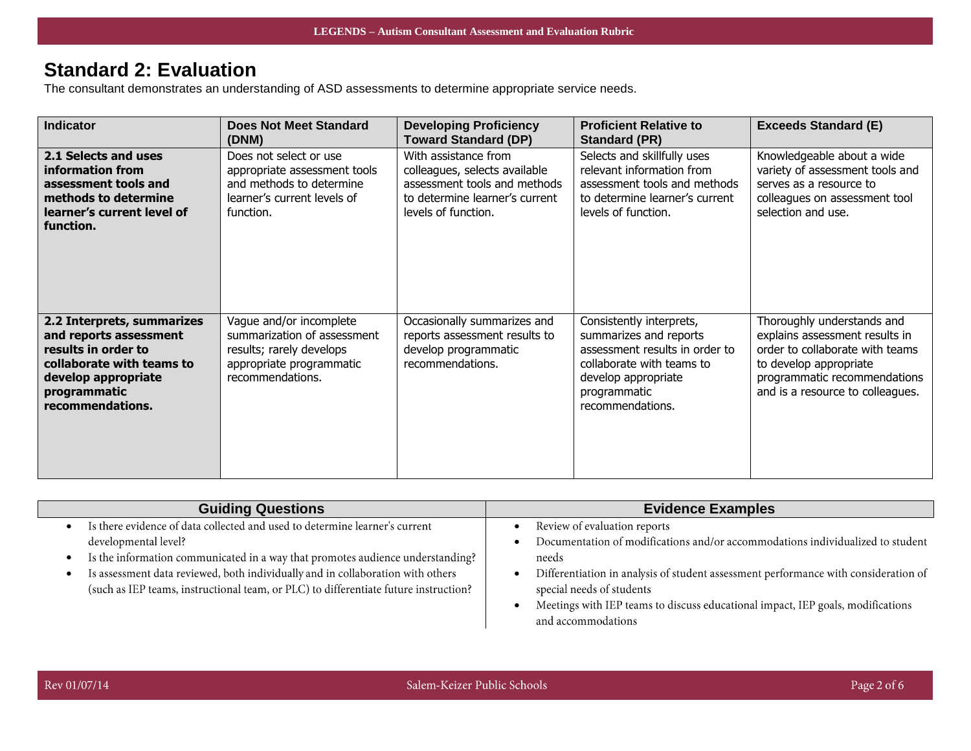#### **Standard 2: Evaluation**

The consultant demonstrates an understanding of ASD assessments to determine appropriate service needs.

| <b>Indicator</b>                                                                                                                                                    | <b>Does Not Meet Standard</b><br>(DNM)                                                                                             | <b>Developing Proficiency</b><br><b>Toward Standard (DP)</b>                                                                                   | <b>Proficient Relative to</b><br><b>Standard (PR)</b>                                                                                                                        | <b>Exceeds Standard (E)</b>                                                                                                                                                                   |
|---------------------------------------------------------------------------------------------------------------------------------------------------------------------|------------------------------------------------------------------------------------------------------------------------------------|------------------------------------------------------------------------------------------------------------------------------------------------|------------------------------------------------------------------------------------------------------------------------------------------------------------------------------|-----------------------------------------------------------------------------------------------------------------------------------------------------------------------------------------------|
| 2.1 Selects and uses<br>information from<br>assessment tools and<br>methods to determine<br>learner's current level of<br>function.                                 | Does not select or use<br>appropriate assessment tools<br>and methods to determine<br>learner's current levels of<br>function.     | With assistance from<br>colleagues, selects available<br>assessment tools and methods<br>to determine learner's current<br>levels of function. | Selects and skillfully uses<br>relevant information from<br>assessment tools and methods<br>to determine learner's current<br>levels of function.                            | Knowledgeable about a wide<br>variety of assessment tools and<br>serves as a resource to<br>colleagues on assessment tool<br>selection and use.                                               |
| 2.2 Interprets, summarizes<br>and reports assessment<br>results in order to<br>collaborate with teams to<br>develop appropriate<br>programmatic<br>recommendations. | Vague and/or incomplete<br>summarization of assessment<br>results; rarely develops<br>appropriate programmatic<br>recommendations. | Occasionally summarizes and<br>reports assessment results to<br>develop programmatic<br>recommendations.                                       | Consistently interprets,<br>summarizes and reports<br>assessment results in order to<br>collaborate with teams to<br>develop appropriate<br>programmatic<br>recommendations. | Thoroughly understands and<br>explains assessment results in<br>order to collaborate with teams<br>to develop appropriate<br>programmatic recommendations<br>and is a resource to colleagues. |

| <b>Guiding Questions</b>                                                                                                                                                                                                                                                                                                                                         | <b>Evidence Examples</b>                                                                                                                                                                                                                                                                                                                             |
|------------------------------------------------------------------------------------------------------------------------------------------------------------------------------------------------------------------------------------------------------------------------------------------------------------------------------------------------------------------|------------------------------------------------------------------------------------------------------------------------------------------------------------------------------------------------------------------------------------------------------------------------------------------------------------------------------------------------------|
| Is there evidence of data collected and used to determine learner's current<br>developmental level?<br>Is the information communicated in a way that promotes audience understanding?<br>Is assessment data reviewed, both individually and in collaboration with others<br>(such as IEP teams, instructional team, or PLC) to differentiate future instruction? | Review of evaluation reports<br>Documentation of modifications and/or accommodations individualized to student<br>needs<br>Differentiation in analysis of student assessment performance with consideration of<br>special needs of students<br>Meetings with IEP teams to discuss educational impact, IEP goals, modifications<br>and accommodations |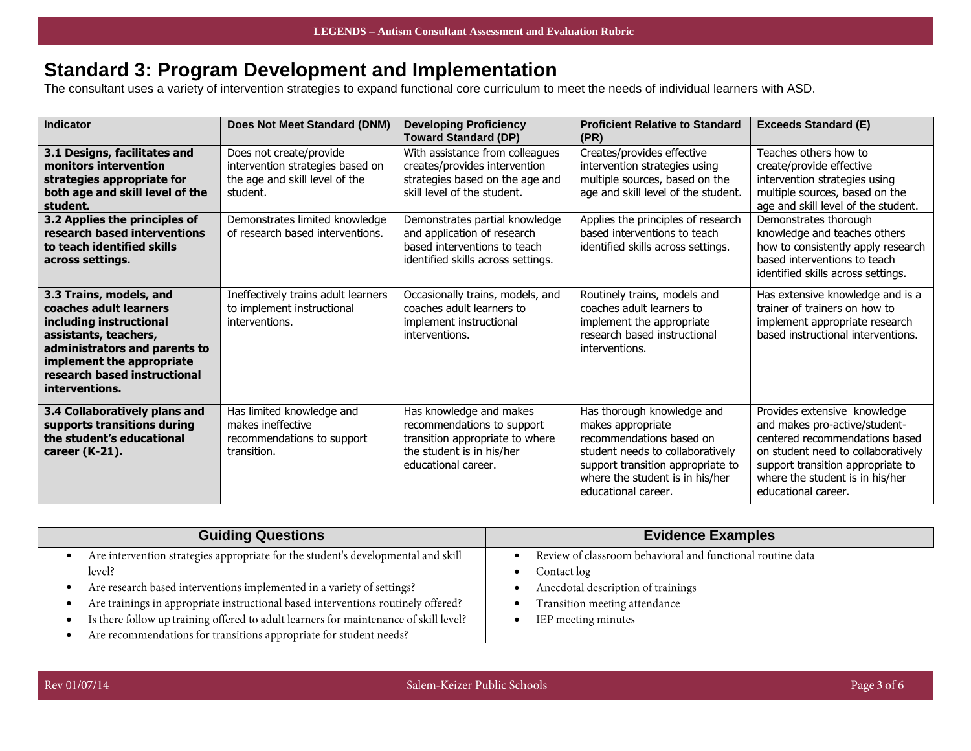# **Standard 3: Program Development and Implementation**

The consultant uses a variety of intervention strategies to expand functional core curriculum to meet the needs of individual learners with ASD.

| Indicator                                                                                                                                                                                                             | Does Not Meet Standard (DNM)                                                                              | <b>Developing Proficiency</b><br><b>Toward Standard (DP)</b>                                                                                 | <b>Proficient Relative to Standard</b><br>(PR)                                                                                                                                                                 | <b>Exceeds Standard (E)</b>                                                                                                                                                                                                          |
|-----------------------------------------------------------------------------------------------------------------------------------------------------------------------------------------------------------------------|-----------------------------------------------------------------------------------------------------------|----------------------------------------------------------------------------------------------------------------------------------------------|----------------------------------------------------------------------------------------------------------------------------------------------------------------------------------------------------------------|--------------------------------------------------------------------------------------------------------------------------------------------------------------------------------------------------------------------------------------|
| 3.1 Designs, facilitates and<br>monitors intervention<br>strategies appropriate for<br>both age and skill level of the<br>student.                                                                                    | Does not create/provide<br>intervention strategies based on<br>the age and skill level of the<br>student. | With assistance from colleagues<br>creates/provides intervention<br>strategies based on the age and<br>skill level of the student.           | Creates/provides effective<br>intervention strategies using<br>multiple sources, based on the<br>age and skill level of the student.                                                                           | Teaches others how to<br>create/provide effective<br>intervention strategies using<br>multiple sources, based on the<br>age and skill level of the student.                                                                          |
| 3.2 Applies the principles of<br>research based interventions<br>to teach identified skills<br>across settings.                                                                                                       | Demonstrates limited knowledge<br>of research based interventions.                                        | Demonstrates partial knowledge<br>and application of research<br>based interventions to teach<br>identified skills across settings.          | Applies the principles of research<br>based interventions to teach<br>identified skills across settings.                                                                                                       | Demonstrates thorough<br>knowledge and teaches others<br>how to consistently apply research<br>based interventions to teach<br>identified skills across settings.                                                                    |
| 3.3 Trains, models, and<br>coaches adult learners<br>including instructional<br>assistants, teachers,<br>administrators and parents to<br>implement the appropriate<br>research based instructional<br>interventions. | Ineffectively trains adult learners<br>to implement instructional<br>interventions.                       | Occasionally trains, models, and<br>coaches adult learners to<br>implement instructional<br>interventions.                                   | Routinely trains, models and<br>coaches adult learners to<br>implement the appropriate<br>research based instructional<br>interventions.                                                                       | Has extensive knowledge and is a<br>trainer of trainers on how to<br>implement appropriate research<br>based instructional interventions.                                                                                            |
| 3.4 Collaboratively plans and<br>supports transitions during<br>the student's educational<br>career (K-21).                                                                                                           | Has limited knowledge and<br>makes ineffective<br>recommendations to support<br>transition.               | Has knowledge and makes<br>recommendations to support<br>transition appropriate to where<br>the student is in his/her<br>educational career. | Has thorough knowledge and<br>makes appropriate<br>recommendations based on<br>student needs to collaboratively<br>support transition appropriate to<br>where the student is in his/her<br>educational career. | Provides extensive knowledge<br>and makes pro-active/student-<br>centered recommendations based<br>on student need to collaboratively<br>support transition appropriate to<br>where the student is in his/her<br>educational career. |

| <b>Guiding Questions</b>                                                              | <b>Evidence Examples</b>                                   |
|---------------------------------------------------------------------------------------|------------------------------------------------------------|
| Are intervention strategies appropriate for the student's developmental and skill     | Review of classroom behavioral and functional routine data |
| level?                                                                                | Contact log                                                |
| Are research based interventions implemented in a variety of settings?                | Anecdotal description of trainings                         |
| Are trainings in appropriate instructional based interventions routinely offered?     | Transition meeting attendance                              |
| Is there follow up training offered to adult learners for maintenance of skill level? | IEP meeting minutes                                        |
| Are recommendations for transitions appropriate for student needs?                    |                                                            |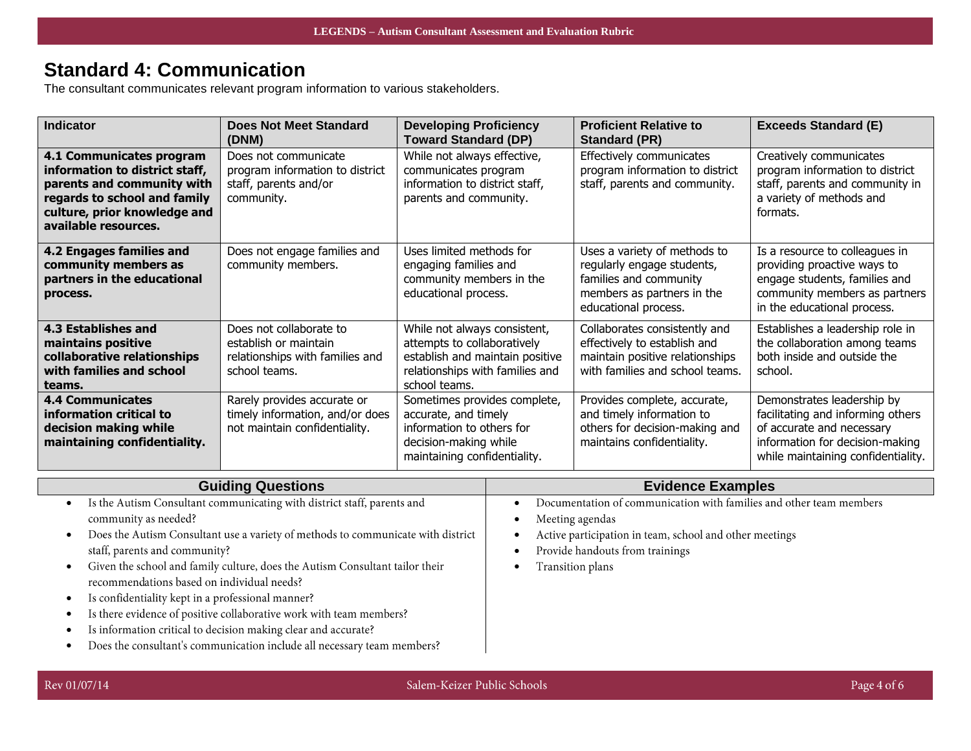# **Standard 4: Communication**

The consultant communicates relevant program information to various stakeholders.

| <b>Indicator</b>                                                                                                                                                                 | <b>Does Not Meet Standard</b><br>(DNM)                                                               | <b>Developing Proficiency</b><br><b>Toward Standard (DP)</b>                                                                                       | <b>Proficient Relative to</b><br><b>Standard (PR)</b>                                                                                      | <b>Exceeds Standard (E)</b>                                                                                                                                           |
|----------------------------------------------------------------------------------------------------------------------------------------------------------------------------------|------------------------------------------------------------------------------------------------------|----------------------------------------------------------------------------------------------------------------------------------------------------|--------------------------------------------------------------------------------------------------------------------------------------------|-----------------------------------------------------------------------------------------------------------------------------------------------------------------------|
| 4.1 Communicates program<br>information to district staff,<br>parents and community with<br>regards to school and family<br>culture, prior knowledge and<br>available resources. | Does not communicate<br>program information to district<br>staff, parents and/or<br>community.       | While not always effective,<br>communicates program<br>information to district staff,<br>parents and community.                                    | Effectively communicates<br>program information to district<br>staff, parents and community.                                               | Creatively communicates<br>program information to district<br>staff, parents and community in<br>a variety of methods and<br>formats.                                 |
| 4.2 Engages families and<br>community members as<br>partners in the educational<br>process.                                                                                      | Does not engage families and<br>community members.                                                   | Uses limited methods for<br>engaging families and<br>community members in the<br>educational process.                                              | Uses a variety of methods to<br>regularly engage students,<br>families and community<br>members as partners in the<br>educational process. | Is a resource to colleagues in<br>providing proactive ways to<br>engage students, families and<br>community members as partners<br>in the educational process.        |
| 4.3 Establishes and<br>maintains positive<br>collaborative relationships<br>with families and school<br>teams.                                                                   | Does not collaborate to<br>establish or maintain<br>relationships with families and<br>school teams. | While not always consistent,<br>attempts to collaboratively<br>establish and maintain positive<br>relationships with families and<br>school teams. | Collaborates consistently and<br>effectively to establish and<br>maintain positive relationships<br>with families and school teams.        | Establishes a leadership role in<br>the collaboration among teams<br>both inside and outside the<br>school.                                                           |
| <b>4.4 Communicates</b><br>information critical to<br>decision making while<br>maintaining confidentiality.                                                                      | Rarely provides accurate or<br>timely information, and/or does<br>not maintain confidentiality.      | Sometimes provides complete,<br>accurate, and timely<br>information to others for<br>decision-making while<br>maintaining confidentiality.         | Provides complete, accurate,<br>and timely information to<br>others for decision-making and<br>maintains confidentiality.                  | Demonstrates leadership by<br>facilitating and informing others<br>of accurate and necessary<br>information for decision-making<br>while maintaining confidentiality. |

| <b>Guiding Questions</b>                                                         | <b>Evidence Examples</b>                                            |
|----------------------------------------------------------------------------------|---------------------------------------------------------------------|
| Is the Autism Consultant communicating with district staff, parents and          | Documentation of communication with families and other team members |
| community as needed?                                                             | Meeting agendas                                                     |
| Does the Autism Consultant use a variety of methods to communicate with district | Active participation in team, school and other meetings             |
| staff, parents and community?                                                    | Provide handouts from trainings                                     |
| Given the school and family culture, does the Autism Consultant tailor their     | Transition plans                                                    |
| recommendations based on individual needs?                                       |                                                                     |
| Is confidentiality kept in a professional manner?                                |                                                                     |
| Is there evidence of positive collaborative work with team members?              |                                                                     |
| Is information critical to decision making clear and accurate?                   |                                                                     |
| Does the consultant's communication include all necessary team members?          |                                                                     |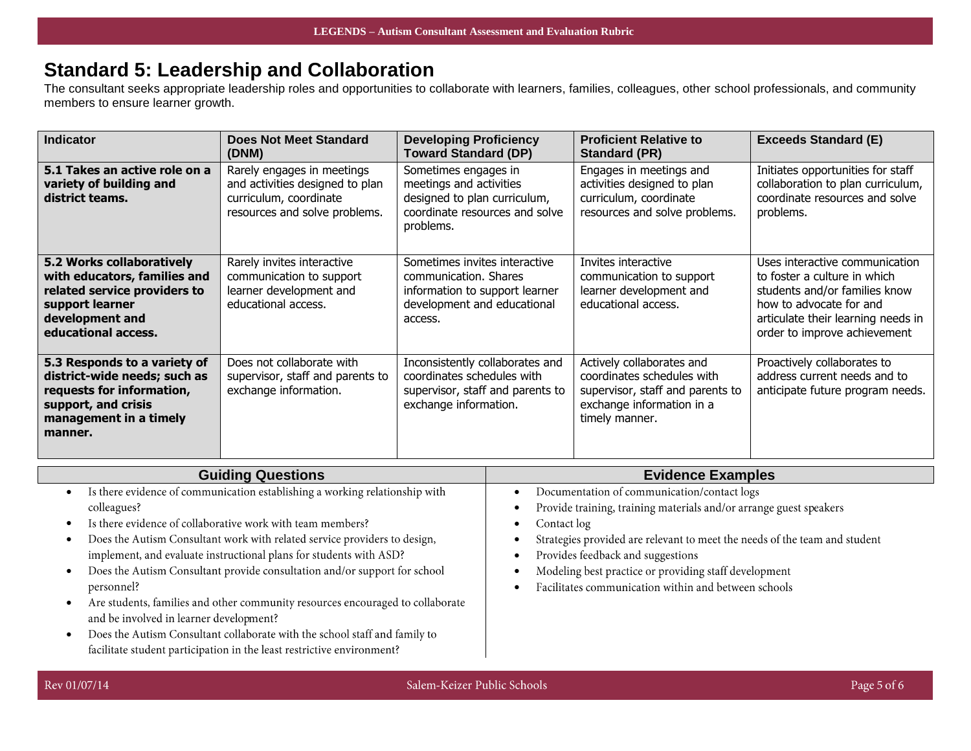### **Standard 5: Leadership and Collaboration**

The consultant seeks appropriate leadership roles and opportunities to collaborate with learners, families, colleagues, other school professionals, and community members to ensure learner growth.

| <b>Indicator</b>                                                                                                                                       | <b>Does Not Meet Standard</b><br>(DNM)                                                                                   | <b>Developing Proficiency</b><br><b>Toward Standard (DP)</b>                                                                       | <b>Proficient Relative to</b><br><b>Standard (PR)</b>                                                                                      | <b>Exceeds Standard (E)</b>                                                                                                                                                                      |
|--------------------------------------------------------------------------------------------------------------------------------------------------------|--------------------------------------------------------------------------------------------------------------------------|------------------------------------------------------------------------------------------------------------------------------------|--------------------------------------------------------------------------------------------------------------------------------------------|--------------------------------------------------------------------------------------------------------------------------------------------------------------------------------------------------|
| 5.1 Takes an active role on a<br>variety of building and<br>district teams.                                                                            | Rarely engages in meetings<br>and activities designed to plan<br>curriculum, coordinate<br>resources and solve problems. | Sometimes engages in<br>meetings and activities<br>designed to plan curriculum,<br>coordinate resources and solve<br>problems.     | Engages in meetings and<br>activities designed to plan<br>curriculum, coordinate<br>resources and solve problems.                          | Initiates opportunities for staff<br>collaboration to plan curriculum,<br>coordinate resources and solve<br>problems.                                                                            |
| 5.2 Works collaboratively<br>with educators, families and<br>related service providers to<br>support learner<br>development and<br>educational access. | Rarely invites interactive<br>communication to support<br>learner development and<br>educational access.                 | Sometimes invites interactive<br>communication. Shares<br>information to support learner<br>development and educational<br>access. | Invites interactive<br>communication to support<br>learner development and<br>educational access.                                          | Uses interactive communication<br>to foster a culture in which<br>students and/or families know<br>how to advocate for and<br>articulate their learning needs in<br>order to improve achievement |
| 5.3 Responds to a variety of<br>district-wide needs; such as<br>requests for information,<br>support, and crisis<br>management in a timely<br>manner.  | Does not collaborate with<br>supervisor, staff and parents to<br>exchange information.                                   | Inconsistently collaborates and<br>coordinates schedules with<br>supervisor, staff and parents to<br>exchange information.         | Actively collaborates and<br>coordinates schedules with<br>supervisor, staff and parents to<br>exchange information in a<br>timely manner. | Proactively collaborates to<br>address current needs and to<br>anticipate future program needs.                                                                                                  |

| <b>Guiding Questions</b>                                                       | <b>Evidence Examples</b>                                                   |
|--------------------------------------------------------------------------------|----------------------------------------------------------------------------|
| Is there evidence of communication establishing a working relationship with    | Documentation of communication/contact logs                                |
| colleagues?                                                                    | Provide training, training materials and/or arrange guest speakers         |
| Is there evidence of collaborative work with team members?                     | Contact log                                                                |
| Does the Autism Consultant work with related service providers to design,      | Strategies provided are relevant to meet the needs of the team and student |
| implement, and evaluate instructional plans for students with ASD?             | Provides feedback and suggestions                                          |
| Does the Autism Consultant provide consultation and/or support for school      | Modeling best practice or providing staff development                      |
| personnel?                                                                     | Facilitates communication within and between schools                       |
| Are students, families and other community resources encouraged to collaborate |                                                                            |
| and be involved in learner development?                                        |                                                                            |
| Does the Autism Consultant collaborate with the school staff and family to     |                                                                            |
| facilitate student participation in the least restrictive environment?         |                                                                            |